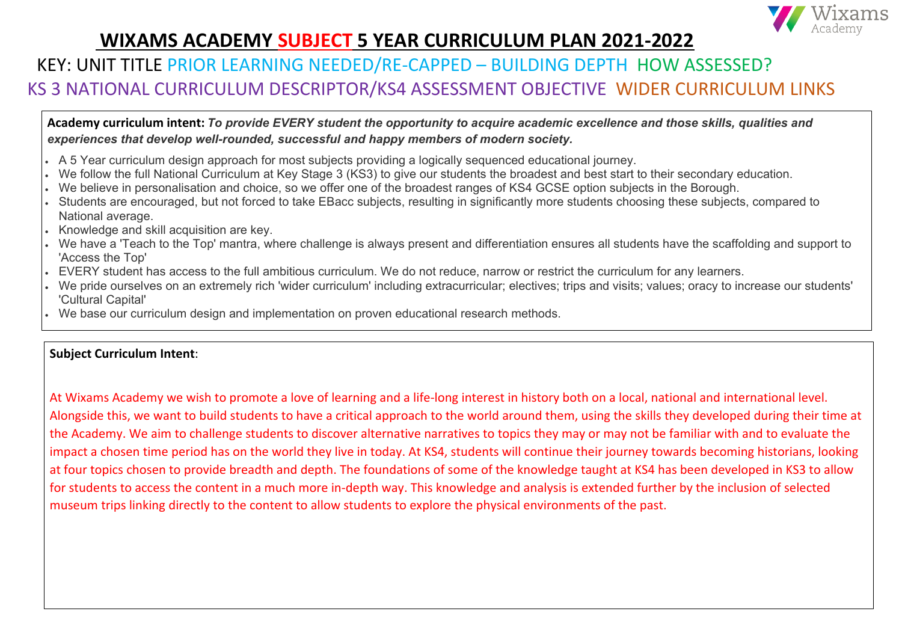## KEY: UNIT TITLE PRIOR LEARNING NEEDED/RE-CAPPED – BUILDING DEPTH HOW ASSESSED? KS 3 NATIONAL CURRICULUM DESCRIPTOR/KS4 ASSESSMENT OBJECTIVE WIDER CURRICULUM LINKS

### **Subject Curriculum Intent**:

At Wixams Academy we wish to promote a love of learning and a life-long interest in history both on a local, national and international level. Alongside this, we want to build students to have a critical approach to the world around them, using the skills they developed during their time at the Academy. We aim to challenge students to discover alternative narratives to topics they may or may not be familiar with and to evaluate the impact a chosen time period has on the world they live in today. At KS4, students will continue their journey towards becoming historians, looking at four topics chosen to provide breadth and depth. The foundations of some of the knowledge taught at KS4 has been developed in KS3 to allow for students to access the content in a much more in-depth way. This knowledge and analysis is extended further by the inclusion of selected museum trips linking directly to the content to allow students to explore the physical environments of the past.



**Academy curriculum intent:** *To provide EVERY student the opportunity to acquire academic excellence and those skills, qualities and experiences that develop well-rounded, successful and happy members of modern society.*

- A 5 Year curriculum design approach for most subjects providing a logically sequenced educational journey.
- We follow the full National Curriculum at Key Stage 3 (KS3) to give our students the broadest and best start to their secondary education.
- We believe in personalisation and choice, so we offer one of the broadest ranges of KS4 GCSE option subjects in the Borough.
- Students are encouraged, but not forced to take EBacc subjects, resulting in significantly more students choosing these subjects, compared to National average.
- Knowledge and skill acquisition are key.
- We have a 'Teach to the Top' mantra, where challenge is always present and differentiation ensures all students have the scaffolding and support to 'Access the Top'
- EVERY student has access to the full ambitious curriculum. We do not reduce, narrow or restrict the curriculum for any learners.
- We pride ourselves on an extremely rich 'wider curriculum' including extracurricular; electives; trips and visits; values; oracy to increase our students' 'Cultural Capital'
- We base our curriculum design and implementation on proven educational research methods.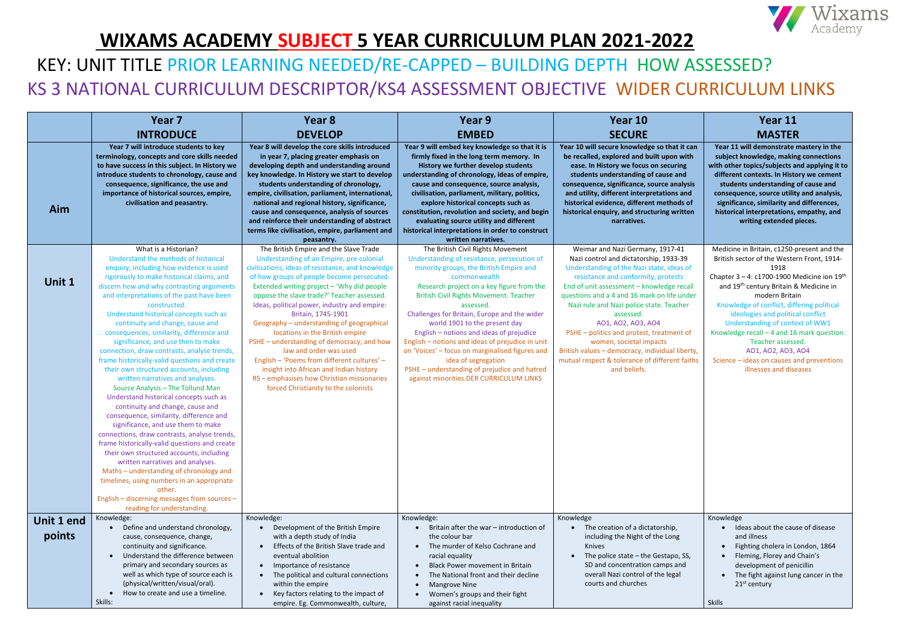|            | Year <sub>7</sub>                                                                                                                                                                                                                                                                                                                                                                                                                                                                                                                                                                                                                                                                                                                                                                                                                                                                                                                                                                                                                                                              | Year 8                                                                                                                                                                                                                                                                                                                                                                                                                                                                                                                                                                                                                                                | Year 9                                                                                                                                                                                                                                                                                                                                                                                                                                                                                                                                                                   | Year 10                                                                                                                                                                                                                                                                                                                                                                                                                                                                                            | Year 11                                                                                                                                                                                                                                                                                                                                                                                                                                                                        |
|------------|--------------------------------------------------------------------------------------------------------------------------------------------------------------------------------------------------------------------------------------------------------------------------------------------------------------------------------------------------------------------------------------------------------------------------------------------------------------------------------------------------------------------------------------------------------------------------------------------------------------------------------------------------------------------------------------------------------------------------------------------------------------------------------------------------------------------------------------------------------------------------------------------------------------------------------------------------------------------------------------------------------------------------------------------------------------------------------|-------------------------------------------------------------------------------------------------------------------------------------------------------------------------------------------------------------------------------------------------------------------------------------------------------------------------------------------------------------------------------------------------------------------------------------------------------------------------------------------------------------------------------------------------------------------------------------------------------------------------------------------------------|--------------------------------------------------------------------------------------------------------------------------------------------------------------------------------------------------------------------------------------------------------------------------------------------------------------------------------------------------------------------------------------------------------------------------------------------------------------------------------------------------------------------------------------------------------------------------|----------------------------------------------------------------------------------------------------------------------------------------------------------------------------------------------------------------------------------------------------------------------------------------------------------------------------------------------------------------------------------------------------------------------------------------------------------------------------------------------------|--------------------------------------------------------------------------------------------------------------------------------------------------------------------------------------------------------------------------------------------------------------------------------------------------------------------------------------------------------------------------------------------------------------------------------------------------------------------------------|
|            | <b>INTRODUCE</b>                                                                                                                                                                                                                                                                                                                                                                                                                                                                                                                                                                                                                                                                                                                                                                                                                                                                                                                                                                                                                                                               | <b>DEVELOP</b>                                                                                                                                                                                                                                                                                                                                                                                                                                                                                                                                                                                                                                        | <b>EMBED</b>                                                                                                                                                                                                                                                                                                                                                                                                                                                                                                                                                             | <b>SECURE</b>                                                                                                                                                                                                                                                                                                                                                                                                                                                                                      | <b>MASTER</b>                                                                                                                                                                                                                                                                                                                                                                                                                                                                  |
| Aim        | Year 7 will introduce students to key<br>terminology, concepts and core skills needed<br>to have success in this subject. In History we<br>introduce students to chronology, cause and<br>consequence, significance, the use and<br>importance of historical sources, empire,<br>civilisation and peasantry.                                                                                                                                                                                                                                                                                                                                                                                                                                                                                                                                                                                                                                                                                                                                                                   | Year 8 will develop the core skills introduced<br>in year 7, placing greater emphasis on<br>developing depth and understanding around<br>key knowledge. In History we start to develop<br>students understanding of chronology,<br>empire, civilisation, parliament, international,<br>national and regional history, significance,<br>cause and consequence, analysis of sources<br>and reinforce their understanding of abstract<br>terms like civilisation, empire, parliament and<br>peasantry.                                                                                                                                                   | Year 9 will embed key knowledge so that it is<br>firmly fixed in the long term memory. In<br>History we further develop students<br>understanding of chronology, ideas of empire,<br>cause and consequence, source analysis,<br>civilisation, parliament, military, politics,<br>explore historical concepts such as<br>constitution, revolution and society, and begin<br>evaluating source utility and different<br>historical interpretations in order to construct<br>written narratives.                                                                            | Year 10 will secure knowledge so that it can<br>be recalled, explored and built upon with<br>ease. In History we focus on securing<br>students understanding of cause and<br>consequence, significance, source analysis<br>and utility, different interpretations and<br>historical evidence, different methods of<br>historical enquiry, and structuring written<br>narratives.                                                                                                                   | Year 11 will demonstrate mastery in the<br>subject knowledge, making connections<br>with other topics/subjects and applying it to<br>different contexts. In History we cement<br>students understanding of cause and<br>consequence, source utility and analysis,<br>significance, similarity and differences,<br>historical interpretations, empathy, and<br>writing extended pieces.                                                                                         |
|            | What is a Historian?                                                                                                                                                                                                                                                                                                                                                                                                                                                                                                                                                                                                                                                                                                                                                                                                                                                                                                                                                                                                                                                           | The British Empire and the Slave Trade                                                                                                                                                                                                                                                                                                                                                                                                                                                                                                                                                                                                                | The British Civil Rights Movement                                                                                                                                                                                                                                                                                                                                                                                                                                                                                                                                        | Weimar and Nazi Germany, 1917-41                                                                                                                                                                                                                                                                                                                                                                                                                                                                   | Medicine in Britain, c1250-present and the                                                                                                                                                                                                                                                                                                                                                                                                                                     |
| Unit 1     | Understand the methods of historical<br>enquiry, including how evidence is used<br>rigorously to make historical claims, and<br>discern how and why contrasting arguments<br>and interpretations of the past have been<br>constructed.<br>Understand historical concepts such as<br>continuity and change, cause and<br>consequences, similarity, difference and<br>significance, and use then to make<br>connection, draw contrasts, analyse trends,<br>frame historically-valid questions and create<br>their own structured accounts, including<br>written narratives and analyses.<br>Source Analysis - The Tollund Man<br>Understand historical concepts such as<br>continuity and change, cause and<br>consequence, similarity, difference and<br>significance, and use them to make<br>connections, draw contrasts, analyse trends,<br>frame historically-valid questions and create<br>their own structured accounts, including<br>written narratives and analyses.<br>Maths - understanding of chronology and<br>timelines, using numbers in an appropriate<br>other. | Understanding of an Empire, pre-colonial<br>civilisations, ideas of resistance, and knowledge<br>of how groups of people become persecuted.<br>Extended writing project - 'Why did people<br>oppose the slave trade?' Teacher assessed.<br>Ideas, political power, industry and empire:<br>Britain, 1745-1901<br>Geography - understanding of geographical<br>locations in the British empire<br>PSHE - understanding of democracy, and how<br>law and order was used<br>English - 'Poems from different cultures' -<br>insight into African and Indian history<br>RS - emphasises how Christian missionaries<br>forced Christianity to the colonists | Understanding of resistance, persecution of<br>minority groups, the British Empire and<br>commonwealth<br>Research project on a key figure from the<br><b>British Civil Rights Movement. Teacher</b><br>assessed.<br>Challenges for Britain, Europe and the wider<br>world 1901 to the present day<br>English - notions and ideas of prejudice<br>English - notions and ideas of prejudice in unit<br>on 'Voices' - focus on marginalised figures and<br>idea of segregation<br>PSHE - understanding of prejudice and hatred<br>against minorities. DER CURRICULUM LINKS | Nazi control and dictatorship, 1933-39<br>Understanding of the Nazi state, ideas of<br>resistance and conformity, protests<br>End of unit assessment - knowledge recall<br>questions and a 4 and 16 mark on life under<br>Nazi rule and Nazi police state. Teacher<br>assessed.<br>A01, A02, A03, A04<br>PSHE - politics and protest, treatment of<br>women, societal impacts<br>British values - democracy, individual liberty,<br>mutual respect & tolerance of different faiths<br>and beliefs. | British sector of the Western Front, 1914-<br>1918<br>Chapter $3 - 4$ : c1700-1900 Medicine ion 19 <sup>th</sup><br>and 19 <sup>th</sup> century Britain & Medicine in<br>modern Britain<br>Knowledge of conflict, differing political<br>ideologies and political conflict<br>Understanding of context of WW1<br>Knowledge recall - 4 and 16 mark question.<br>Teacher assessed.<br>A01, A02, A03, A04<br>Science - ideas on causes and preventions<br>illnesses and diseases |
|            | English - discerning messages from sources -                                                                                                                                                                                                                                                                                                                                                                                                                                                                                                                                                                                                                                                                                                                                                                                                                                                                                                                                                                                                                                   |                                                                                                                                                                                                                                                                                                                                                                                                                                                                                                                                                                                                                                                       |                                                                                                                                                                                                                                                                                                                                                                                                                                                                                                                                                                          |                                                                                                                                                                                                                                                                                                                                                                                                                                                                                                    |                                                                                                                                                                                                                                                                                                                                                                                                                                                                                |
| Unit 1 end | reading for understanding.<br>Knowledge:                                                                                                                                                                                                                                                                                                                                                                                                                                                                                                                                                                                                                                                                                                                                                                                                                                                                                                                                                                                                                                       | Knowledge:                                                                                                                                                                                                                                                                                                                                                                                                                                                                                                                                                                                                                                            | Knowledge:                                                                                                                                                                                                                                                                                                                                                                                                                                                                                                                                                               | Knowledge                                                                                                                                                                                                                                                                                                                                                                                                                                                                                          | Knowledge                                                                                                                                                                                                                                                                                                                                                                                                                                                                      |
| points     | Define and understand chronology,<br>cause, consequence, change,<br>continuity and significance.<br>Understand the difference between<br>primary and secondary sources as<br>well as which type of source each is<br>(physical/written/visual/oral).<br>How to create and use a timeline.<br>Skills:                                                                                                                                                                                                                                                                                                                                                                                                                                                                                                                                                                                                                                                                                                                                                                           | Development of the British Empire<br>with a depth study of India<br>Effects of the British Slave trade and<br>eventual abolition<br>Importance of resistance<br>The political and cultural connections<br>within the empire<br>Key factors relating to the impact of<br>$\bullet$<br>empire. Eg. Commonwealth, culture,                                                                                                                                                                                                                                                                                                                               | Britain after the war - introduction of<br>the colour bar<br>The murder of Kelso Cochrane and<br>racial equality<br>Black Power movement in Britain<br>The National front and their decline<br><b>Mangrove Nine</b><br>Women's groups and their fight<br>against racial inequality                                                                                                                                                                                                                                                                                       | The creation of a dictatorship,<br>including the Night of the Long<br>Knives<br>The police state - the Gestapo, SS,<br>SD and concentration camps and<br>overall Nazi control of the legal<br>courts and churches                                                                                                                                                                                                                                                                                  | Ideas about the cause of disease<br>and illness<br>Fighting cholera in London, 1864<br>Fleming, Florey and Chain's<br>development of penicillin<br>• The fight against lung cancer in the<br>$21st$ century<br><b>Skills</b>                                                                                                                                                                                                                                                   |

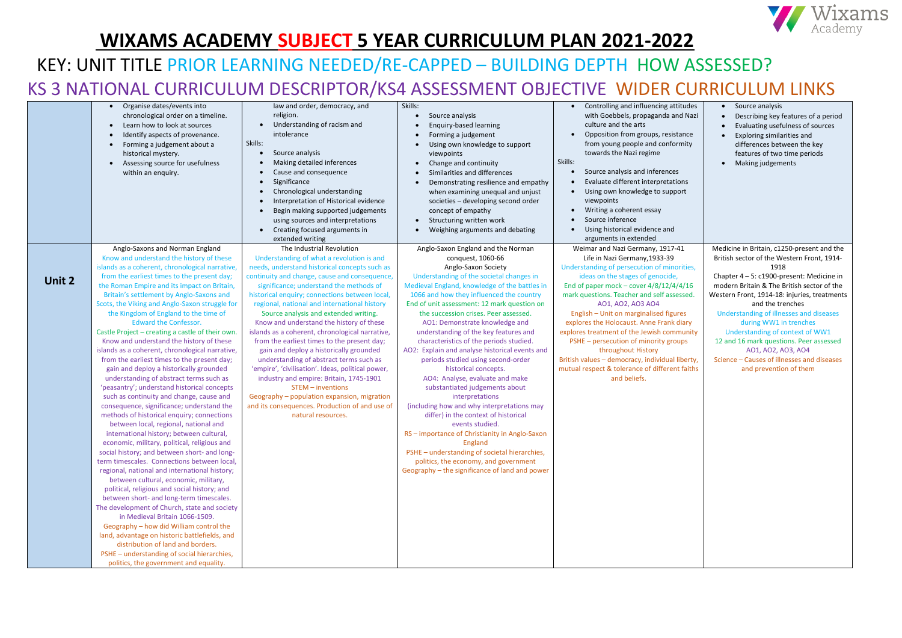|        | Organise dates/events into<br>chronological order on a timeline.<br>Learn how to look at sources<br>Identify aspects of provenance.<br>$\bullet$<br>Forming a judgement about a<br>historical mystery.<br>Assessing source for usefulness<br>within an enquiry.                                                                                                                                                                                                                                                                                                                                                                                                                                                                                                                                                                                                                                                                                                                                                                                                                                                                                                                                                                                                                                                                                                                                                                                                                                                                                                                                                         | law and order, democracy, and<br>religion.<br>Understanding of racism and<br>intolerance<br>Skills:<br>Source analysis<br>Making detailed inferences<br>Cause and consequence<br>Significance<br>$\bullet$<br>Chronological understanding<br>$\bullet$<br>Interpretation of Historical evidence<br>$\bullet$<br>Begin making supported judgements<br>using sources and interpretations<br>Creating focused arguments in<br>extended writing                                                                                                                                                                                                                                                                                                                                                                                                      | Skills:<br>Source analysis<br><b>Enquiry-based learning</b><br>Forming a judgement<br>Using own knowledge to support<br>viewpoints<br>Change and continuity<br>$\bullet$<br>Similarities and differences<br>$\bullet$<br>Demonstrating resilience and empathy<br>when examining unequal and unjust<br>societies - developing second order<br>concept of empathy<br>Structuring written work<br>Weighing arguments and debating                                                                                                                                                                                                                                                                                                                                                                                                                                                                                                                                  | Controlling and influencing attitudes<br>with Goebbels, propaganda and Nazi<br>culture and the arts<br>Opposition from groups, resistance<br>from young people and conformity<br>towards the Nazi regime<br>Skills:<br>Source analysis and inferences<br>Evaluate different interpretations<br>Using own knowledge to support<br>viewpoints<br>Writing a coherent essay<br>Source inference<br>Using historical evidence and<br>arguments in extended                                                                                                                                        | Source analysis<br>Describing key features of a period<br>Evaluating usefulness of sources<br>Exploring similarities and<br>differences between the key<br>features of two time periods<br>Making judgements                                                                                                                                                                                                                                                                                                   |
|--------|-------------------------------------------------------------------------------------------------------------------------------------------------------------------------------------------------------------------------------------------------------------------------------------------------------------------------------------------------------------------------------------------------------------------------------------------------------------------------------------------------------------------------------------------------------------------------------------------------------------------------------------------------------------------------------------------------------------------------------------------------------------------------------------------------------------------------------------------------------------------------------------------------------------------------------------------------------------------------------------------------------------------------------------------------------------------------------------------------------------------------------------------------------------------------------------------------------------------------------------------------------------------------------------------------------------------------------------------------------------------------------------------------------------------------------------------------------------------------------------------------------------------------------------------------------------------------------------------------------------------------|--------------------------------------------------------------------------------------------------------------------------------------------------------------------------------------------------------------------------------------------------------------------------------------------------------------------------------------------------------------------------------------------------------------------------------------------------------------------------------------------------------------------------------------------------------------------------------------------------------------------------------------------------------------------------------------------------------------------------------------------------------------------------------------------------------------------------------------------------|-----------------------------------------------------------------------------------------------------------------------------------------------------------------------------------------------------------------------------------------------------------------------------------------------------------------------------------------------------------------------------------------------------------------------------------------------------------------------------------------------------------------------------------------------------------------------------------------------------------------------------------------------------------------------------------------------------------------------------------------------------------------------------------------------------------------------------------------------------------------------------------------------------------------------------------------------------------------|----------------------------------------------------------------------------------------------------------------------------------------------------------------------------------------------------------------------------------------------------------------------------------------------------------------------------------------------------------------------------------------------------------------------------------------------------------------------------------------------------------------------------------------------------------------------------------------------|----------------------------------------------------------------------------------------------------------------------------------------------------------------------------------------------------------------------------------------------------------------------------------------------------------------------------------------------------------------------------------------------------------------------------------------------------------------------------------------------------------------|
| Unit 2 | Anglo-Saxons and Norman England<br>Know and understand the history of these<br>islands as a coherent, chronological narrative,<br>from the earliest times to the present day;<br>the Roman Empire and its impact on Britain,<br>Britain's settlement by Anglo-Saxons and<br>Scots, the Viking and Anglo-Saxon struggle for<br>the Kingdom of England to the time of<br><b>Edward the Confessor.</b><br>Castle Project - creating a castle of their own.<br>Know and understand the history of these<br>islands as a coherent, chronological narrative,<br>from the earliest times to the present day;<br>gain and deploy a historically grounded<br>understanding of abstract terms such as<br>'peasantry'; understand historical concepts<br>such as continuity and change, cause and<br>consequence, significance; understand the<br>methods of historical enquiry; connections<br>between local, regional, national and<br>international history; between cultural,<br>economic, military, political, religious and<br>social history; and between short- and long-<br>term timescales. Connections between local,<br>regional, national and international history;<br>between cultural, economic, military,<br>political, religious and social history; and<br>between short- and long-term timescales.<br>The development of Church, state and society<br>in Medieval Britain 1066-1509.<br>Geography - how did William control the<br>land, advantage on historic battlefields, and<br>distribution of land and borders.<br>PSHE - understanding of social hierarchies,<br>politics, the government and equality. | The Industrial Revolution<br>Understanding of what a revolution is and<br>needs, understand historical concepts such as<br>continuity and change, cause and consequence,<br>significance; understand the methods of<br>historical enquiry; connections between local,<br>regional, national and international history<br>Source analysis and extended writing.<br>Know and understand the history of these<br>islands as a coherent, chronological narrative,<br>from the earliest times to the present day;<br>gain and deploy a historically grounded<br>understanding of abstract terms such as<br>'empire', 'civilisation'. Ideas, political power,<br>industry and empire: Britain, 1745-1901<br>$STEM$ – inventions<br>Geography - population expansion, migration<br>and its consequences. Production of and use of<br>natural resources. | Anglo-Saxon England and the Norman<br>conquest, 1060-66<br>Anglo-Saxon Society<br>Understanding of the societal changes in<br>Medieval England, knowledge of the battles in<br>1066 and how they influenced the country<br>End of unit assessment: 12 mark question on<br>the succession crises. Peer assessed.<br>AO1: Demonstrate knowledge and<br>understanding of the key features and<br>characteristics of the periods studied.<br>AO2: Explain and analyse historical events and<br>periods studied using second-order<br>historical concepts.<br>AO4: Analyse, evaluate and make<br>substantiated judgements about<br>interpretations<br>(including how and why interpretations may<br>differ) in the context of historical<br>events studied.<br>RS - importance of Christianity in Anglo-Saxon<br>England<br>PSHE - understanding of societal hierarchies,<br>politics, the economy, and government<br>Geography - the significance of land and power | Weimar and Nazi Germany, 1917-41<br>Life in Nazi Germany, 1933-39<br>Understanding of persecution of minorities,<br>ideas on the stages of genocide,<br>End of paper mock - cover $4/8/12/4/4/16$<br>mark questions. Teacher and self assessed.<br>A01, A02, A03 A04<br>English - Unit on marginalised figures<br>explores the Holocaust. Anne Frank diary<br>explores treatment of the Jewish community<br>PSHE - persecution of minority groups<br>throughout History<br>British values - democracy, individual liberty,<br>mutual respect & tolerance of different faiths<br>and beliefs. | Medicine in Britain, c1250-present and the<br>British sector of the Western Front, 1914-<br>1918<br>Chapter 4-5: c1900-present: Medicine in<br>modern Britain & The British sector of the<br>Western Front, 1914-18: injuries, treatments<br>and the trenches<br>Understanding of illnesses and diseases<br>during WW1 in trenches<br>Understanding of context of WW1<br>12 and 16 mark questions. Peer assessed<br>A01, A02, A03, A04<br>Science - Causes of illnesses and diseases<br>and prevention of them |

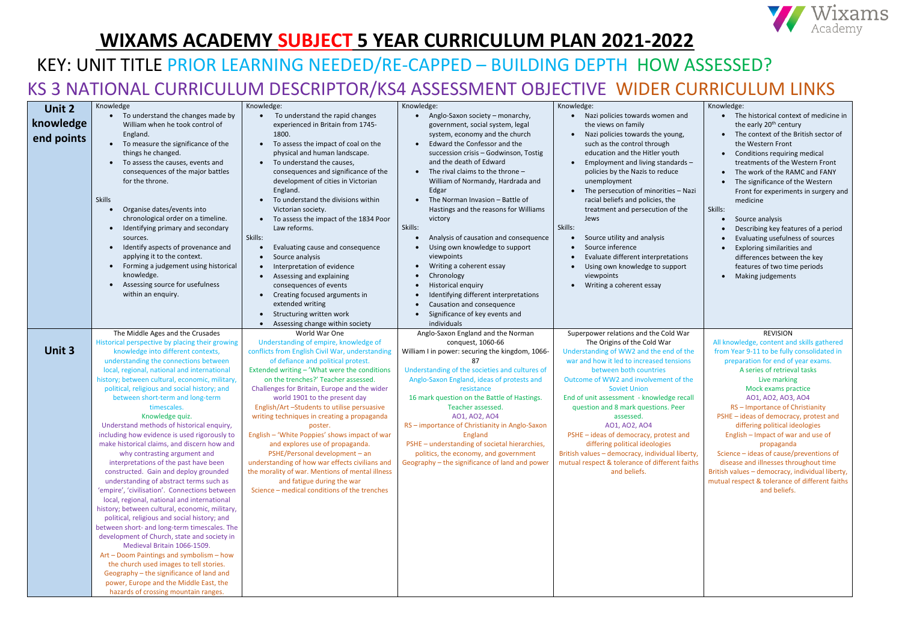|            | Knowledge                                                                                                                                                                                                                                                                                                                                                                                                                                                                                                                                                                                                                                                                                                                                                                                                                                                                                                                                                                                                                                                                                                                                                                                                           | Knowledge:                                                                                                                                                                                                                                                                                                                                                                                                                                                                                                                                                                                                                                                                                                               | Knowledge:                                                                                                                                                                                                                                                                                                                                                                                                                                                                                                                                                                                                                         | Knowledge:                                                                                                                                                                                                                                                                                                                                                                                                                                                                                                                      | Knowledge:                                                                                                                                                                                                                                                                                                                                                                                                                                                                                                                                                                                           |
|------------|---------------------------------------------------------------------------------------------------------------------------------------------------------------------------------------------------------------------------------------------------------------------------------------------------------------------------------------------------------------------------------------------------------------------------------------------------------------------------------------------------------------------------------------------------------------------------------------------------------------------------------------------------------------------------------------------------------------------------------------------------------------------------------------------------------------------------------------------------------------------------------------------------------------------------------------------------------------------------------------------------------------------------------------------------------------------------------------------------------------------------------------------------------------------------------------------------------------------|--------------------------------------------------------------------------------------------------------------------------------------------------------------------------------------------------------------------------------------------------------------------------------------------------------------------------------------------------------------------------------------------------------------------------------------------------------------------------------------------------------------------------------------------------------------------------------------------------------------------------------------------------------------------------------------------------------------------------|------------------------------------------------------------------------------------------------------------------------------------------------------------------------------------------------------------------------------------------------------------------------------------------------------------------------------------------------------------------------------------------------------------------------------------------------------------------------------------------------------------------------------------------------------------------------------------------------------------------------------------|---------------------------------------------------------------------------------------------------------------------------------------------------------------------------------------------------------------------------------------------------------------------------------------------------------------------------------------------------------------------------------------------------------------------------------------------------------------------------------------------------------------------------------|------------------------------------------------------------------------------------------------------------------------------------------------------------------------------------------------------------------------------------------------------------------------------------------------------------------------------------------------------------------------------------------------------------------------------------------------------------------------------------------------------------------------------------------------------------------------------------------------------|
| Unit 2     | To understand the changes made by                                                                                                                                                                                                                                                                                                                                                                                                                                                                                                                                                                                                                                                                                                                                                                                                                                                                                                                                                                                                                                                                                                                                                                                   | To understand the rapid changes                                                                                                                                                                                                                                                                                                                                                                                                                                                                                                                                                                                                                                                                                          | Anglo-Saxon society - monarchy,                                                                                                                                                                                                                                                                                                                                                                                                                                                                                                                                                                                                    | Nazi policies towards women and                                                                                                                                                                                                                                                                                                                                                                                                                                                                                                 | The historical context of medicine in                                                                                                                                                                                                                                                                                                                                                                                                                                                                                                                                                                |
| knowledge  | William when he took control of                                                                                                                                                                                                                                                                                                                                                                                                                                                                                                                                                                                                                                                                                                                                                                                                                                                                                                                                                                                                                                                                                                                                                                                     | experienced in Britain from 1745-                                                                                                                                                                                                                                                                                                                                                                                                                                                                                                                                                                                                                                                                                        | government, social system, legal                                                                                                                                                                                                                                                                                                                                                                                                                                                                                                                                                                                                   | the views on family                                                                                                                                                                                                                                                                                                                                                                                                                                                                                                             | the early 20 <sup>th</sup> century                                                                                                                                                                                                                                                                                                                                                                                                                                                                                                                                                                   |
| end points | England.<br>To measure the significance of the<br>things he changed.<br>To assess the causes, events and<br>consequences of the major battles<br>for the throne.<br><b>Skills</b><br>Organise dates/events into<br>chronological order on a timeline.<br>Identifying primary and secondary<br>$\bullet$<br>sources.<br>Identify aspects of provenance and<br>$\bullet$<br>applying it to the context.<br>Forming a judgement using historical<br>$\bullet$<br>knowledge.<br>Assessing source for usefulness<br>$\bullet$<br>within an enquiry.                                                                                                                                                                                                                                                                                                                                                                                                                                                                                                                                                                                                                                                                      | 1800.<br>To assess the impact of coal on the<br>physical and human landscape.<br>• To understand the causes,<br>consequences and significance of the<br>development of cities in Victorian<br>England.<br>To understand the divisions within<br>Victorian society.<br>To assess the impact of the 1834 Poor<br>Law reforms.<br>Skills:<br>Evaluating cause and consequence<br>Source analysis<br>Interpretation of evidence<br>Assessing and explaining<br>consequences of events<br>Creating focused arguments in<br>extended writing<br>Structuring written work<br>Assessing change within society                                                                                                                    | system, economy and the church<br>Edward the Confessor and the<br>$\bullet$<br>succession crisis - Godwinson, Tostig<br>and the death of Edward<br>The rival claims to the throne $-$<br>$\bullet$<br>William of Normandy, Hardrada and<br>Edgar<br>The Norman Invasion - Battle of<br>Hastings and the reasons for Williams<br>victory<br>Skills:<br>Analysis of causation and consequence<br>Using own knowledge to support<br>viewpoints<br>Writing a coherent essay<br>Chronology<br>Historical enquiry<br>Identifying different interpretations<br>Causation and consequence<br>Significance of key events and<br>individuals | Nazi policies towards the young,<br>such as the control through<br>education and the Hitler youth<br>Employment and living standards -<br>policies by the Nazis to reduce<br>unemployment<br>The persecution of minorities - Nazi<br>racial beliefs and policies, the<br>treatment and persecution of the<br>Jews<br>Skills:<br>Source utility and analysis<br>Source inference<br>Evaluate different interpretations<br>Using own knowledge to support<br>viewpoints<br>Writing a coherent essay                               | The context of the British sector of<br>the Western Front<br>Conditions requiring medical<br>treatments of the Western Front<br>The work of the RAMC and FANY<br>The significance of the Western<br>Front for experiments in surgery and<br>medicine<br>Skills:<br>Source analysis<br>Describing key features of a period<br>Evaluating usefulness of sources<br>Exploring similarities and<br>differences between the key<br>features of two time periods<br>Making judgements                                                                                                                      |
|            | The Middle Ages and the Crusades                                                                                                                                                                                                                                                                                                                                                                                                                                                                                                                                                                                                                                                                                                                                                                                                                                                                                                                                                                                                                                                                                                                                                                                    | World War One                                                                                                                                                                                                                                                                                                                                                                                                                                                                                                                                                                                                                                                                                                            | Anglo-Saxon England and the Norman                                                                                                                                                                                                                                                                                                                                                                                                                                                                                                                                                                                                 | Superpower relations and the Cold War                                                                                                                                                                                                                                                                                                                                                                                                                                                                                           | <b>REVISION</b>                                                                                                                                                                                                                                                                                                                                                                                                                                                                                                                                                                                      |
| Unit 3     | Historical perspective by placing their growing<br>knowledge into different contexts,<br>understanding the connections between<br>local, regional, national and international<br>history; between cultural, economic, military,<br>political, religious and social history; and<br>between short-term and long-term<br>timescales.<br>Knowledge quiz.<br>Understand methods of historical enquiry,<br>including how evidence is used rigorously to<br>make historical claims, and discern how and<br>why contrasting argument and<br>interpretations of the past have been<br>constructed. Gain and deploy grounded<br>understanding of abstract terms such as<br>'empire', 'civilisation'. Connections between<br>local, regional, national and international<br>history; between cultural, economic, military,<br>political, religious and social history; and<br>between short- and long-term timescales. The<br>development of Church, state and society in<br>Medieval Britain 1066-1509.<br>Art - Doom Paintings and symbolism - how<br>the church used images to tell stories.<br>Geography - the significance of land and<br>power, Europe and the Middle East, the<br>hazards of crossing mountain ranges. | Understanding of empire, knowledge of<br>conflicts from English Civil War, understanding<br>of defiance and political protest.<br>Extended writing - 'What were the conditions<br>on the trenches?' Teacher assessed.<br>Challenges for Britain, Europe and the wider<br>world 1901 to the present day<br>English/Art -Students to utilise persuasive<br>writing techniques in creating a propaganda<br>poster.<br>English - 'White Poppies' shows impact of war<br>and explores use of propaganda.<br>PSHE/Personal development - an<br>understanding of how war effects civilians and<br>the morality of war. Mentions of mental illness<br>and fatigue during the war<br>Science - medical conditions of the trenches | conquest, 1060-66<br>William I in power: securing the kingdom, 1066-<br>87<br>Understanding of the societies and cultures of<br>Anglo-Saxon England, ideas of protests and<br>resistance<br>16 mark question on the Battle of Hastings.<br>Teacher assessed.<br>A01, A02, A04<br>RS - importance of Christianity in Anglo-Saxon<br>England<br>PSHE - understanding of societal hierarchies,<br>politics, the economy, and government<br>Geography - the significance of land and power                                                                                                                                             | The Origins of the Cold War<br>Understanding of WW2 and the end of the<br>war and how it led to increased tensions<br>between both countries<br>Outcome of WW2 and involvement of the<br><b>Soviet Union</b><br>End of unit assessment - knowledge recall<br>question and 8 mark questions. Peer<br>assessed.<br>A01, A02, A04<br>PSHE - ideas of democracy, protest and<br>differing political ideologies<br>British values - democracy, individual liberty,<br>mutual respect & tolerance of different faiths<br>and beliefs. | All knowledge, content and skills gathered<br>from Year 9-11 to be fully consolidated in<br>preparation for end of year exams.<br>A series of retrieval tasks<br>Live marking<br>Mock exams practice<br>A01, A02, A03, A04<br>RS-Importance of Christianity<br>PSHE - ideas of democracy, protest and<br>differing political ideologies<br>English - Impact of war and use of<br>propaganda<br>Science - ideas of cause/preventions of<br>disease and illnesses throughout time<br>British values - democracy, individual liberty,<br>mutual respect & tolerance of different faiths<br>and beliefs. |

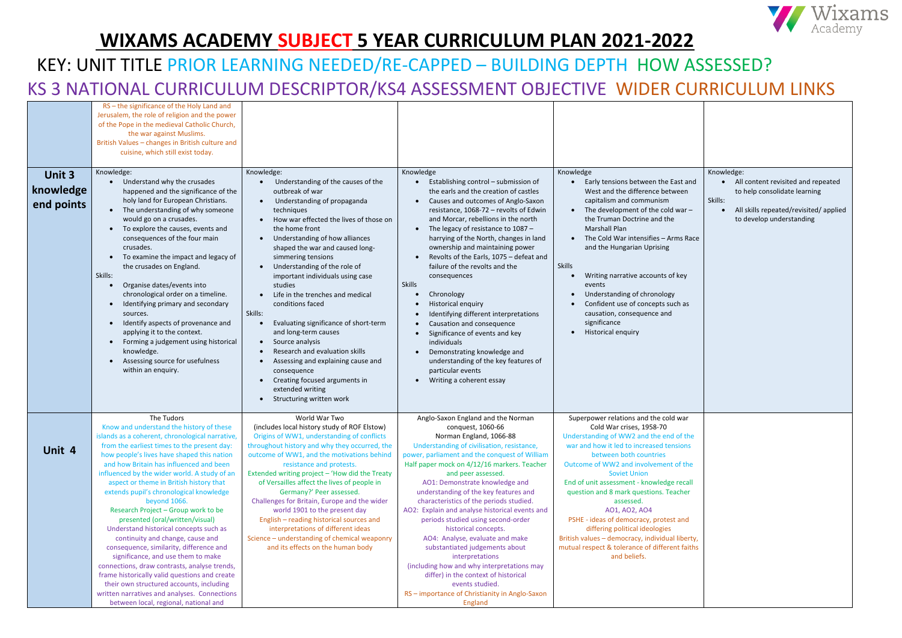| Unit 3<br>knowledge<br>end points | RS-the significance of the Holy Land and<br>Jerusalem, the role of religion and the power<br>of the Pope in the medieval Catholic Church,<br>the war against Muslims.<br>British Values - changes in British culture and<br>cuisine, which still exist today.<br>Knowledge:<br>Understand why the crusades<br>happened and the significance of the<br>holy land for European Christians.<br>The understanding of why someone<br>$\bullet$<br>would go on a crusades.<br>To explore the causes, events and<br>$\bullet$<br>consequences of the four main<br>crusades.<br>To examine the impact and legacy of<br>$\bullet$<br>the crusades on England.<br>Skills:<br>Organise dates/events into<br>$\bullet$<br>chronological order on a timeline.<br>Identifying primary and secondary<br>$\bullet$<br>sources.<br>Identify aspects of provenance and<br>$\bullet$<br>applying it to the context.<br>Forming a judgement using historical<br>$\bullet$<br>knowledge.<br>Assessing source for usefulness<br>$\bullet$<br>within an enquiry. | Knowledge:<br>Understanding of the causes of the<br>outbreak of war<br>Understanding of propaganda<br>$\bullet$<br>techniques<br>How war effected the lives of those on<br>the home front<br>Understanding of how alliances<br>$\bullet$<br>shaped the war and caused long-<br>simmering tensions<br>Understanding of the role of<br>important individuals using case<br>studies<br>Life in the trenches and medical<br>conditions faced<br>Skills:<br>Evaluating significance of short-term<br>and long-term causes<br>Source analysis<br>Research and evaluation skills<br>Assessing and explaining cause and<br>consequence<br>Creating focused arguments in<br>extended writing<br>Structuring written work | Knowledge<br>Establishing control - submission of<br>the earls and the creation of castles<br>Causes and outcomes of Anglo-Saxon<br>$\bullet$<br>resistance, 1068-72 - revolts of Edwin<br>and Morcar, rebellions in the north<br>The legacy of resistance to 1087 -<br>$\bullet$<br>harrying of the North, changes in land<br>ownership and maintaining power<br>Revolts of the Earls, 1075 - defeat and<br>failure of the revolts and the<br>consequences<br><b>Skills</b><br>Chronology<br>Historical enquiry<br>Identifying different interpretations<br>Causation and consequence<br>Significance of events and key<br>individuals<br>Demonstrating knowledge and<br>understanding of the key features of<br>particular events<br>Writing a coherent essay   | Knowledge<br>Early tensions between the East and<br>West and the difference between<br>capitalism and communism<br>The development of the cold war -<br>the Truman Doctrine and the<br><b>Marshall Plan</b><br>The Cold War intensifies - Arms Race<br>and the Hungarian Uprising<br><b>Skills</b><br>Writing narrative accounts of key<br>events<br>Understanding of chronology<br>Confident use of concepts such as<br>causation, consequence and<br>significance<br>Historical enquiry                                                                                |
|-----------------------------------|-------------------------------------------------------------------------------------------------------------------------------------------------------------------------------------------------------------------------------------------------------------------------------------------------------------------------------------------------------------------------------------------------------------------------------------------------------------------------------------------------------------------------------------------------------------------------------------------------------------------------------------------------------------------------------------------------------------------------------------------------------------------------------------------------------------------------------------------------------------------------------------------------------------------------------------------------------------------------------------------------------------------------------------------|-----------------------------------------------------------------------------------------------------------------------------------------------------------------------------------------------------------------------------------------------------------------------------------------------------------------------------------------------------------------------------------------------------------------------------------------------------------------------------------------------------------------------------------------------------------------------------------------------------------------------------------------------------------------------------------------------------------------|-------------------------------------------------------------------------------------------------------------------------------------------------------------------------------------------------------------------------------------------------------------------------------------------------------------------------------------------------------------------------------------------------------------------------------------------------------------------------------------------------------------------------------------------------------------------------------------------------------------------------------------------------------------------------------------------------------------------------------------------------------------------|--------------------------------------------------------------------------------------------------------------------------------------------------------------------------------------------------------------------------------------------------------------------------------------------------------------------------------------------------------------------------------------------------------------------------------------------------------------------------------------------------------------------------------------------------------------------------|
| Unit 4                            | The Tudors<br>Know and understand the history of these<br>islands as a coherent, chronological narrative,<br>from the earliest times to the present day:<br>how people's lives have shaped this nation<br>and how Britain has influenced and been<br>influenced by the wider world. A study of an<br>aspect or theme in British history that<br>extends pupil's chronological knowledge<br>beyond 1066.<br>Research Project - Group work to be<br>presented (oral/written/visual)<br>Understand historical concepts such as<br>continuity and change, cause and<br>consequence, similarity, difference and<br>significance, and use them to make<br>connections, draw contrasts, analyse trends,<br>frame historically valid questions and create<br>their own structured accounts, including<br>written narratives and analyses. Connections<br>between local, regional, national and                                                                                                                                                    | World War Two<br>(includes local history study of ROF Elstow)<br>Origins of WW1, understanding of conflicts<br>throughout history and why they occurred, the<br>outcome of WW1, and the motivations behind<br>resistance and protests.<br>Extended writing project - 'How did the Treaty<br>of Versailles affect the lives of people in<br>Germany?' Peer assessed.<br>Challenges for Britain, Europe and the wider<br>world 1901 to the present day<br>English - reading historical sources and<br>interpretations of different ideas<br>Science - understanding of chemical weaponry<br>and its effects on the human body                                                                                     | Anglo-Saxon England and the Norman<br>conquest, 1060-66<br>Norman England, 1066-88<br>Understanding of civilisation, resistance,<br>power, parliament and the conquest of William<br>Half paper mock on 4/12/16 markers. Teacher<br>and peer assessed.<br>AO1: Demonstrate knowledge and<br>understanding of the key features and<br>characteristics of the periods studied.<br>AO2: Explain and analyse historical events and<br>periods studied using second-order<br>historical concepts.<br>AO4: Analyse, evaluate and make<br>substantiated judgements about<br>interpretations<br>(including how and why interpretations may<br>differ) in the context of historical<br>events studied.<br>RS - importance of Christianity in Anglo-Saxon<br><b>England</b> | Superpower relations and the cold war<br>Cold War crises, 1958-70<br>Understanding of WW2 and the end of the<br>war and how it led to increased tensions<br>between both countries<br>Outcome of WW2 and involvement of the<br><b>Soviet Union</b><br>End of unit assessment - knowledge recall<br>question and 8 mark questions. Teacher<br>assessed.<br>A01, A02, A04<br>PSHE - ideas of democracy, protest and<br>differing political ideologies<br>British values - democracy, individual liberty,<br>mutual respect & tolerance of different faiths<br>and beliefs. |



| t and<br>en<br>$ar -$<br>Race<br>эy<br>as | Knowledge:<br>Skills: | All content revisited and repeated<br>to help consolidate learning<br>All skills repeated/revisited/applied<br>to develop understanding |
|-------------------------------------------|-----------------------|-----------------------------------------------------------------------------------------------------------------------------------------|
| ar                                        |                       |                                                                                                                                         |
| the<br>ons                                |                       |                                                                                                                                         |
| the                                       |                       |                                                                                                                                         |
| call<br>er                                |                       |                                                                                                                                         |
| nd                                        |                       |                                                                                                                                         |
| perty,<br>faiths                          |                       |                                                                                                                                         |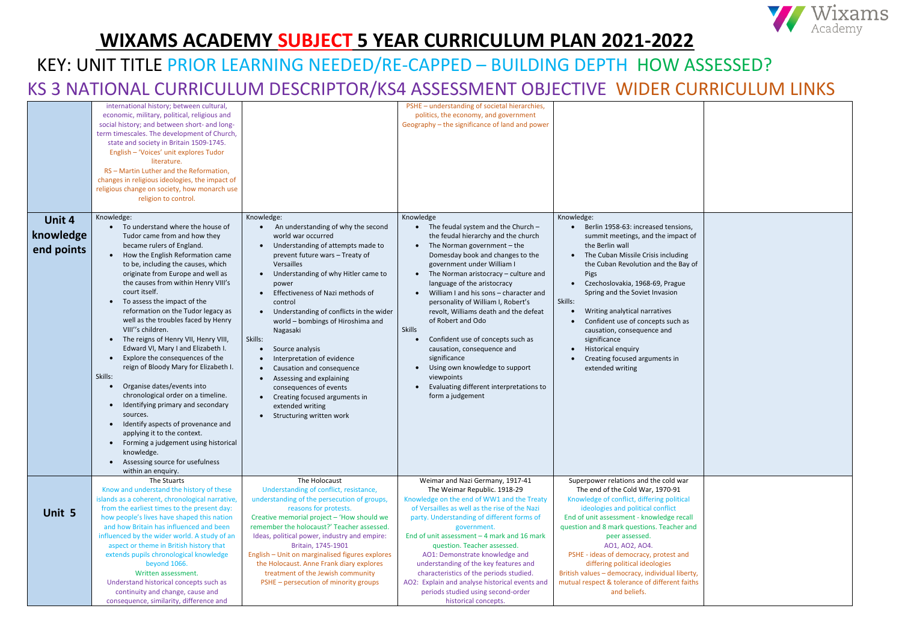|                                   | international history; between cultural,<br>economic, military, political, religious and<br>social history; and between short- and long-<br>term timescales. The development of Church,<br>state and society in Britain 1509-1745.<br>English - 'Voices' unit explores Tudor<br>literature.<br>RS - Martin Luther and the Reformation,<br>changes in religious ideologies, the impact of<br>religious change on society, how monarch use<br>religion to control.                                                                                                                                                                                                                                                                                                                                                                                                                                              |                                                                                                                                                                                                                                                                                                                                                                                                                                                                                                                                                                                                                                                                                    | PSHE - understanding of societal hierarchies,<br>politics, the economy, and government<br>Geography - the significance of land and power                                                                                                                                                                                                                                                                                                                                                                                                                                                                                                       |                                                                                                                                                                                                                                                                                                                                                                                                                                                                                |
|-----------------------------------|---------------------------------------------------------------------------------------------------------------------------------------------------------------------------------------------------------------------------------------------------------------------------------------------------------------------------------------------------------------------------------------------------------------------------------------------------------------------------------------------------------------------------------------------------------------------------------------------------------------------------------------------------------------------------------------------------------------------------------------------------------------------------------------------------------------------------------------------------------------------------------------------------------------|------------------------------------------------------------------------------------------------------------------------------------------------------------------------------------------------------------------------------------------------------------------------------------------------------------------------------------------------------------------------------------------------------------------------------------------------------------------------------------------------------------------------------------------------------------------------------------------------------------------------------------------------------------------------------------|------------------------------------------------------------------------------------------------------------------------------------------------------------------------------------------------------------------------------------------------------------------------------------------------------------------------------------------------------------------------------------------------------------------------------------------------------------------------------------------------------------------------------------------------------------------------------------------------------------------------------------------------|--------------------------------------------------------------------------------------------------------------------------------------------------------------------------------------------------------------------------------------------------------------------------------------------------------------------------------------------------------------------------------------------------------------------------------------------------------------------------------|
| Unit 4<br>knowledge<br>end points | Knowledge:<br>To understand where the house of<br>Tudor came from and how they<br>became rulers of England.<br>How the English Reformation came<br>to be, including the causes, which<br>originate from Europe and well as<br>the causes from within Henry VIII's<br>court itself.<br>To assess the impact of the<br>reformation on the Tudor legacy as<br>well as the troubles faced by Henry<br>VIII"s children.<br>The reigns of Henry VII, Henry VIII,<br>$\bullet$<br>Edward VI, Mary I and Elizabeth I.<br>Explore the consequences of the<br>reign of Bloody Mary for Elizabeth I.<br>Skills:<br>Organise dates/events into<br>chronological order on a timeline.<br>Identifying primary and secondary<br>sources.<br>Identify aspects of provenance and<br>applying it to the context.<br>Forming a judgement using historical<br>knowledge.<br>Assessing source for usefulness<br>within an enquiry. | Knowledge:<br>An understanding of why the second<br>world war occurred<br>Understanding of attempts made to<br>$\bullet$<br>prevent future wars - Treaty of<br>Versailles<br>Understanding of why Hitler came to<br>power<br>Effectiveness of Nazi methods of<br>$\bullet$<br>control<br>Understanding of conflicts in the wider<br>$\bullet$<br>world - bombings of Hiroshima and<br>Nagasaki<br>Skills:<br>Source analysis<br>Interpretation of evidence<br>$\bullet$<br>Causation and consequence<br>$\bullet$<br>Assessing and explaining<br>$\bullet$<br>consequences of events<br>Creating focused arguments in<br>extended writing<br>Structuring written work<br>$\bullet$ | Knowledge<br>The feudal system and the Church -<br>$\bullet$<br>the feudal hierarchy and the church<br>The Norman government $-$ the<br>Domesday book and changes to the<br>government under William I<br>The Norman aristocracy - culture and<br>language of the aristocracy<br>William I and his sons - character and<br>personality of William I, Robert's<br>revolt, Williams death and the defeat<br>of Robert and Odo<br><b>Skills</b><br>Confident use of concepts such as<br>causation, consequence and<br>significance<br>Using own knowledge to support<br>viewpoints<br>Evaluating different interpretations to<br>form a judgement | Knowledge:<br>Berlin 1958-63: increased tensions,<br>summit meetings, and the impact of<br>the Berlin wall<br>The Cuban Missile Crisis including<br>the Cuban Revolution and the Bay of<br>Pigs<br>Czechoslovakia, 1968-69, Prague<br>Spring and the Soviet Invasion<br>Skills:<br>Writing analytical narratives<br>Confident use of concepts such as<br>causation, consequence and<br>significance<br>Historical enquiry<br>Creating focused arguments in<br>extended writing |
| Unit 5                            | The Stuarts<br>Know and understand the history of these<br>islands as a coherent, chronological narrative,<br>from the earliest times to the present day:<br>how people's lives have shaped this nation<br>and how Britain has influenced and been<br>influenced by the wider world. A study of an<br>aspect or theme in British history that<br>extends pupils chronological knowledge<br>beyond 1066.<br>Written assessment.<br>Understand historical concepts such as                                                                                                                                                                                                                                                                                                                                                                                                                                      | The Holocaust<br>Understanding of conflict, resistance,<br>understanding of the persecution of groups,<br>reasons for protests.<br>Creative memorial project - 'How should we<br>remember the holocaust?' Teacher assessed.<br>Ideas, political power, industry and empire:<br>Britain, 1745-1901<br>English - Unit on marginalised figures explores<br>the Holocaust. Anne Frank diary explores<br>treatment of the Jewish community<br>PSHE - persecution of minority groups                                                                                                                                                                                                     | Weimar and Nazi Germany, 1917-41<br>The Weimar Republic. 1918-29<br>Knowledge on the end of WW1 and the Treaty<br>of Versailles as well as the rise of the Nazi<br>party. Understanding of different forms of<br>government.<br>End of unit assessment $-4$ mark and 16 mark<br>question. Teacher assessed.<br>AO1: Demonstrate knowledge and<br>understanding of the key features and<br>characteristics of the periods studied.<br>AO2: Explain and analyse historical events and                                                                                                                                                            | Superpower relations and the cold war<br>The end of the Cold War, 1970-91<br>Knowledge of conflict, differing political<br>ideologies and political conflict<br>End of unit assessment - knowledge recall<br>question and 8 mark questions. Teacher and<br>peer assessed.<br>AO1, AO2, AO4.<br>PSHE - ideas of democracy, protest and<br>differing political ideologies<br>British values - democracy, individual liberty,<br>mutual respect & tolerance of different faiths   |
|                                   | continuity and change, cause and<br>consequence, similarity, difference and                                                                                                                                                                                                                                                                                                                                                                                                                                                                                                                                                                                                                                                                                                                                                                                                                                   |                                                                                                                                                                                                                                                                                                                                                                                                                                                                                                                                                                                                                                                                                    | periods studied using second-order<br>historical concepts.                                                                                                                                                                                                                                                                                                                                                                                                                                                                                                                                                                                     | and beliefs.                                                                                                                                                                                                                                                                                                                                                                                                                                                                   |



| pns,<br>ct of   |  |
|-----------------|--|
| າg<br>ay of     |  |
| e               |  |
| as              |  |
|                 |  |
|                 |  |
|                 |  |
|                 |  |
|                 |  |
| ar              |  |
| cal             |  |
| call<br>and     |  |
| nd              |  |
| erty,<br>faiths |  |
|                 |  |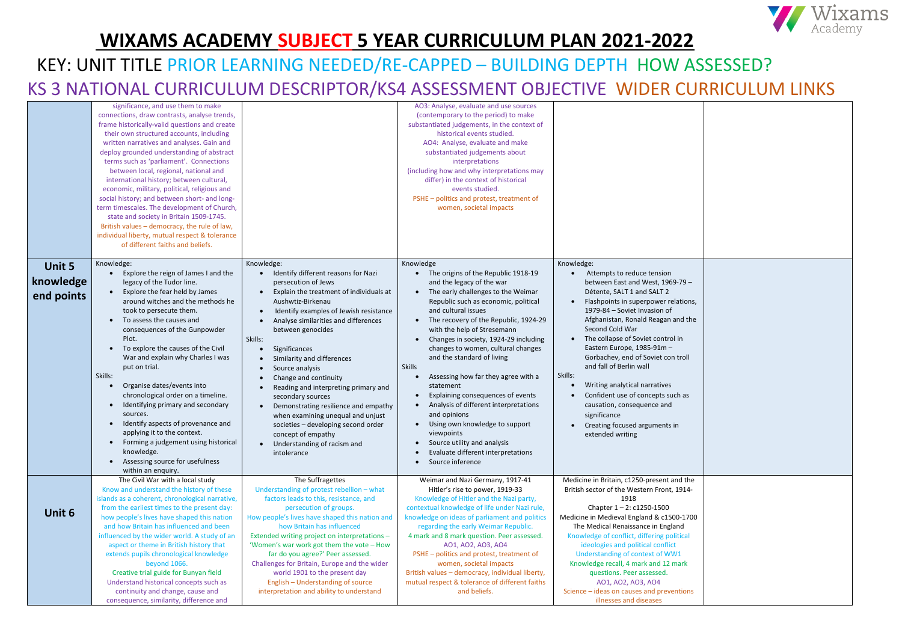|                                          | significance, and use them to make<br>connections, draw contrasts, analyse trends,<br>frame historically-valid questions and create<br>their own structured accounts, including<br>written narratives and analyses. Gain and<br>deploy grounded understanding of abstract<br>terms such as 'parliament'. Connections<br>between local, regional, national and<br>international history; between cultural,<br>economic, military, political, religious and<br>social history; and between short- and long-<br>term timescales. The development of Church,<br>state and society in Britain 1509-1745.<br>British values - democracy, the rule of law,<br>individual liberty, mutual respect & tolerance<br>of different faiths and beliefs.                                                    |                                                                                                                                                                                                                                                                                                                                                                                                                                                                                                                                                                                                                                                                | AO3: Analyse, evaluate and use sources<br>(contemporary to the period) to make<br>substantiated judgements, in the context of<br>historical events studied.<br>AO4: Analyse, evaluate and make<br>substantiated judgements about<br>interpretations<br>(including how and why interpretations may<br>differ) in the context of historical<br>events studied.<br>PSHE - politics and protest, treatment of<br>women, societal impacts                                                                                                                                                                                                                                                                                                                              |                                                                                                                                                                                                                                                                                                                                                                                                                                                                                                                                                                     |
|------------------------------------------|----------------------------------------------------------------------------------------------------------------------------------------------------------------------------------------------------------------------------------------------------------------------------------------------------------------------------------------------------------------------------------------------------------------------------------------------------------------------------------------------------------------------------------------------------------------------------------------------------------------------------------------------------------------------------------------------------------------------------------------------------------------------------------------------|----------------------------------------------------------------------------------------------------------------------------------------------------------------------------------------------------------------------------------------------------------------------------------------------------------------------------------------------------------------------------------------------------------------------------------------------------------------------------------------------------------------------------------------------------------------------------------------------------------------------------------------------------------------|-------------------------------------------------------------------------------------------------------------------------------------------------------------------------------------------------------------------------------------------------------------------------------------------------------------------------------------------------------------------------------------------------------------------------------------------------------------------------------------------------------------------------------------------------------------------------------------------------------------------------------------------------------------------------------------------------------------------------------------------------------------------|---------------------------------------------------------------------------------------------------------------------------------------------------------------------------------------------------------------------------------------------------------------------------------------------------------------------------------------------------------------------------------------------------------------------------------------------------------------------------------------------------------------------------------------------------------------------|
| <b>Unit 5</b><br>knowledge<br>end points | Knowledge:<br>Explore the reign of James I and the<br>$\bullet$<br>legacy of the Tudor line.<br>Explore the fear held by James<br>$\bullet$<br>around witches and the methods he<br>took to persecute them.<br>To assess the causes and<br>$\bullet$<br>consequences of the Gunpowder<br>Plot.<br>To explore the causes of the Civil<br>$\bullet$<br>War and explain why Charles I was<br>put on trial.<br>Skills:<br>Organise dates/events into<br>$\bullet$<br>chronological order on a timeline.<br>Identifying primary and secondary<br>$\bullet$<br>sources.<br>Identify aspects of provenance and<br>$\bullet$<br>applying it to the context.<br>Forming a judgement using historical<br>$\bullet$<br>knowledge.<br>Assessing source for usefulness<br>$\bullet$<br>within an enquiry. | Knowledge:<br>Identify different reasons for Nazi<br>persecution of Jews<br>Explain the treatment of individuals at<br>$\bullet$<br>Aushwtiz-Birkenau<br>Identify examples of Jewish resistance<br>$\bullet$<br>Analyse similarities and differences<br>between genocides<br>Skills:<br>Significances<br>Similarity and differences<br>Source analysis<br>Change and continuity<br>Reading and interpreting primary and<br>secondary sources<br>Demonstrating resilience and empathy<br>$\bullet$<br>when examining unequal and unjust<br>societies - developing second order<br>concept of empathy<br>Understanding of racism and<br>$\bullet$<br>intolerance | Knowledge<br>The origins of the Republic 1918-19<br>and the legacy of the war<br>The early challenges to the Weimar<br>$\bullet$<br>Republic such as economic, political<br>and cultural issues<br>The recovery of the Republic, 1924-29<br>$\bullet$<br>with the help of Stresemann<br>Changes in society, 1924-29 including<br>changes to women, cultural changes<br>and the standard of living<br><b>Skills</b><br>Assessing how far they agree with a<br>$\bullet$<br>statement<br>Explaining consequences of events<br>$\bullet$<br>Analysis of different interpretations<br>$\bullet$<br>and opinions<br>Using own knowledge to support<br>viewpoints<br>Source utility and analysis<br>$\bullet$<br>Evaluate different interpretations<br>Source inference | Knowledge:<br>Attempts to reduce tension<br>between East and West, 1969-79 -<br>Détente, SALT 1 and SALT 2<br>Flashpoints in superpower relations,<br>1979-84 - Soviet Invasion of<br>Afghanistan, Ronald Reagan and the<br>Second Cold War<br>The collapse of Soviet control in<br>Eastern Europe, 1985-91m -<br>Gorbachev, end of Soviet con troll<br>and fall of Berlin wall<br>Skills:<br>Writing analytical narratives<br>Confident use of concepts such as<br>causation, consequence and<br>significance<br>Creating focused arguments in<br>extended writing |
| Unit 6                                   | The Civil War with a local study<br>Know and understand the history of these<br>islands as a coherent, chronological narrative,<br>from the earliest times to the present day:<br>how people's lives have shaped this nation<br>and how Britain has influenced and been<br>influenced by the wider world. A study of an<br>aspect or theme in British history that<br>extends pupils chronological knowledge<br>beyond 1066.<br>Creative trial guide for Bunyan field<br>Understand historical concepts such as<br>continuity and change, cause and<br>consequence, similarity, difference and                                                                                                                                                                                               | The Suffragettes<br>Understanding of protest rebellion - what<br>factors leads to this, resistance, and<br>persecution of groups.<br>How people's lives have shaped this nation and<br>how Britain has influenced<br>Extended writing project on interpretations -<br>'Women's war work got them the vote - How<br>far do you agree?' Peer assessed.<br>Challenges for Britain, Europe and the wider<br>world 1901 to the present day<br>English - Understanding of source<br>interpretation and ability to understand                                                                                                                                         | Weimar and Nazi Germany, 1917-41<br>Hitler's rise to power, 1919-33<br>Knowledge of Hitler and the Nazi party,<br>contextual knowledge of life under Nazi rule,<br>knowledge on ideas of parliament and politics<br>regarding the early Weimar Republic.<br>4 mark and 8 mark question. Peer assessed.<br>A01, A02, A03, A04<br>PSHE - politics and protest, treatment of<br>women, societal impacts<br>British values - democracy, individual liberty,<br>mutual respect & tolerance of different faiths<br>and beliefs.                                                                                                                                                                                                                                         | Medicine in Britain, c1250-present and the<br>British sector of the Western Front, 1914-<br>1918<br>Chapter $1 - 2$ : c1250-1500<br>Medicine in Medieval England & c1500-1700<br>The Medical Renaissance in England<br>Knowledge of conflict, differing political<br>ideologies and political conflict<br>Understanding of context of WW1<br>Knowledge recall, 4 mark and 12 mark<br>questions. Peer assessed.<br>A01, A02, A03, A04<br>Science - ideas on causes and preventions<br>illnesses and diseases                                                         |



| $9-$<br>ions,<br>d the<br>oll<br>as |  |
|-------------------------------------|--|
| the<br>$14 -$<br>1700<br>ł<br>cal   |  |
| rk<br>ons                           |  |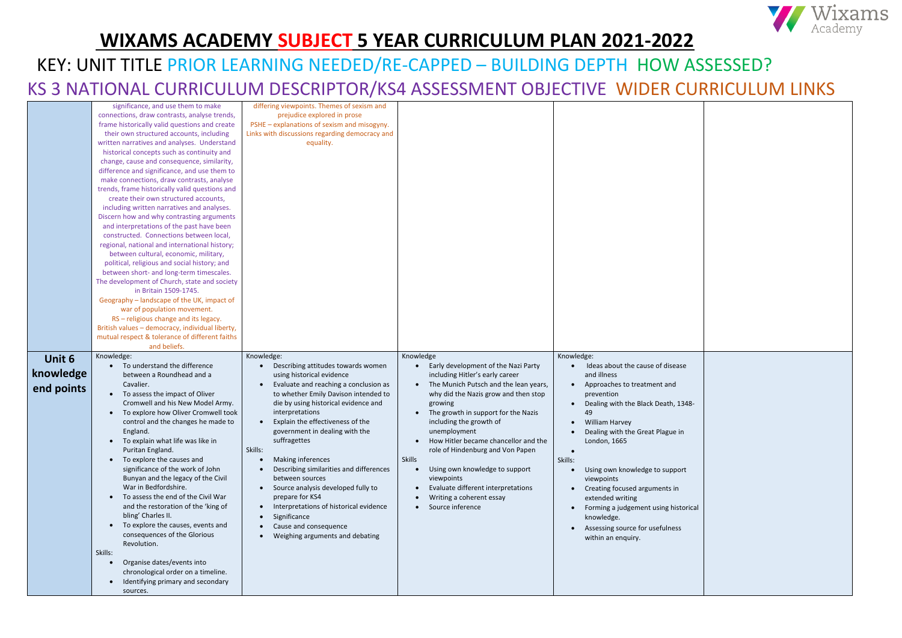|            | significance, and use them to make              | differing viewpoints. Themes of sexism and          |                                                    |                                             |  |
|------------|-------------------------------------------------|-----------------------------------------------------|----------------------------------------------------|---------------------------------------------|--|
|            | connections, draw contrasts, analyse trends,    | prejudice explored in prose                         |                                                    |                                             |  |
|            | frame historically valid questions and create   | PSHE - explanations of sexism and misogyny.         |                                                    |                                             |  |
|            | their own structured accounts, including        | Links with discussions regarding democracy and      |                                                    |                                             |  |
|            | written narratives and analyses. Understand     | equality.                                           |                                                    |                                             |  |
|            | historical concepts such as continuity and      |                                                     |                                                    |                                             |  |
|            | change, cause and consequence, similarity,      |                                                     |                                                    |                                             |  |
|            | difference and significance, and use them to    |                                                     |                                                    |                                             |  |
|            | make connections, draw contrasts, analyse       |                                                     |                                                    |                                             |  |
|            | trends, frame historically valid questions and  |                                                     |                                                    |                                             |  |
|            | create their own structured accounts,           |                                                     |                                                    |                                             |  |
|            | including written narratives and analyses.      |                                                     |                                                    |                                             |  |
|            | Discern how and why contrasting arguments       |                                                     |                                                    |                                             |  |
|            | and interpretations of the past have been       |                                                     |                                                    |                                             |  |
|            | constructed. Connections between local,         |                                                     |                                                    |                                             |  |
|            | regional, national and international history;   |                                                     |                                                    |                                             |  |
|            | between cultural, economic, military,           |                                                     |                                                    |                                             |  |
|            | political, religious and social history; and    |                                                     |                                                    |                                             |  |
|            | between short- and long-term timescales.        |                                                     |                                                    |                                             |  |
|            | The development of Church, state and society    |                                                     |                                                    |                                             |  |
|            | in Britain 1509-1745.                           |                                                     |                                                    |                                             |  |
|            | Geography - landscape of the UK, impact of      |                                                     |                                                    |                                             |  |
|            | war of population movement.                     |                                                     |                                                    |                                             |  |
|            | RS - religious change and its legacy.           |                                                     |                                                    |                                             |  |
|            | British values - democracy, individual liberty, |                                                     |                                                    |                                             |  |
|            | mutual respect & tolerance of different faiths  |                                                     |                                                    |                                             |  |
|            | and beliefs.                                    |                                                     |                                                    |                                             |  |
|            |                                                 |                                                     |                                                    |                                             |  |
|            |                                                 |                                                     |                                                    |                                             |  |
| Unit 6     | Knowledge:                                      | Knowledge:                                          | Knowledge                                          | Knowledge:                                  |  |
|            | To understand the difference                    | Describing attitudes towards women                  | Early development of the Nazi Party                | Ideas about the cause of disease            |  |
| knowledge  | between a Roundhead and a                       | using historical evidence                           | including Hitler's early career                    | and illness                                 |  |
|            | Cavalier.                                       | Evaluate and reaching a conclusion as               | The Munich Putsch and the lean years,<br>$\bullet$ | Approaches to treatment and<br>$\bullet$    |  |
| end points | To assess the impact of Oliver                  | to whether Emily Davison intended to                | why did the Nazis grow and then stop               | prevention                                  |  |
|            | Cromwell and his New Model Army.                | die by using historical evidence and                | growing                                            | Dealing with the Black Death, 1348-         |  |
|            | To explore how Oliver Cromwell took             | interpretations                                     | The growth in support for the Nazis                | 49                                          |  |
|            | control and the changes he made to              | Explain the effectiveness of the                    | including the growth of                            | <b>William Harvey</b><br>$\bullet$          |  |
|            | England.                                        | government in dealing with the                      | unemployment                                       | Dealing with the Great Plague in            |  |
|            | To explain what life was like in                | suffragettes                                        | How Hitler became chancellor and the               | London, 1665                                |  |
|            | Puritan England.                                | Skills:                                             | role of Hindenburg and Von Papen                   |                                             |  |
|            | To explore the causes and<br>$\bullet$          | <b>Making inferences</b>                            | Skills                                             | Skills:                                     |  |
|            | significance of the work of John                | Describing similarities and differences             | Using own knowledge to support<br>$\bullet$        | Using own knowledge to support<br>$\bullet$ |  |
|            | Bunyan and the legacy of the Civil              | between sources                                     | viewpoints                                         | viewpoints                                  |  |
|            | War in Bedfordshire.                            | • Source analysis developed fully to                | Evaluate different interpretations                 | Creating focused arguments in<br>$\bullet$  |  |
|            | To assess the end of the Civil War              | prepare for KS4                                     | Writing a coherent essay                           | extended writing                            |  |
|            | and the restoration of the 'king of             | Interpretations of historical evidence<br>$\bullet$ | Source inference<br>$\bullet$                      | Forming a judgement using historical        |  |
|            | bling' Charles II.                              | Significance<br>$\bullet$                           |                                                    | knowledge.                                  |  |
|            | To explore the causes, events and<br>$\bullet$  | Cause and consequence                               |                                                    |                                             |  |
|            | consequences of the Glorious                    | Weighing arguments and debating<br>$\bullet$        |                                                    | Assessing source for usefulness             |  |
|            | Revolution.                                     |                                                     |                                                    | within an enquiry.                          |  |
|            | Skills:                                         |                                                     |                                                    |                                             |  |
|            | Organise dates/events into                      |                                                     |                                                    |                                             |  |
|            | chronological order on a timeline.              |                                                     |                                                    |                                             |  |
|            | Identifying primary and secondary               |                                                     |                                                    |                                             |  |
|            | sources.                                        |                                                     |                                                    |                                             |  |